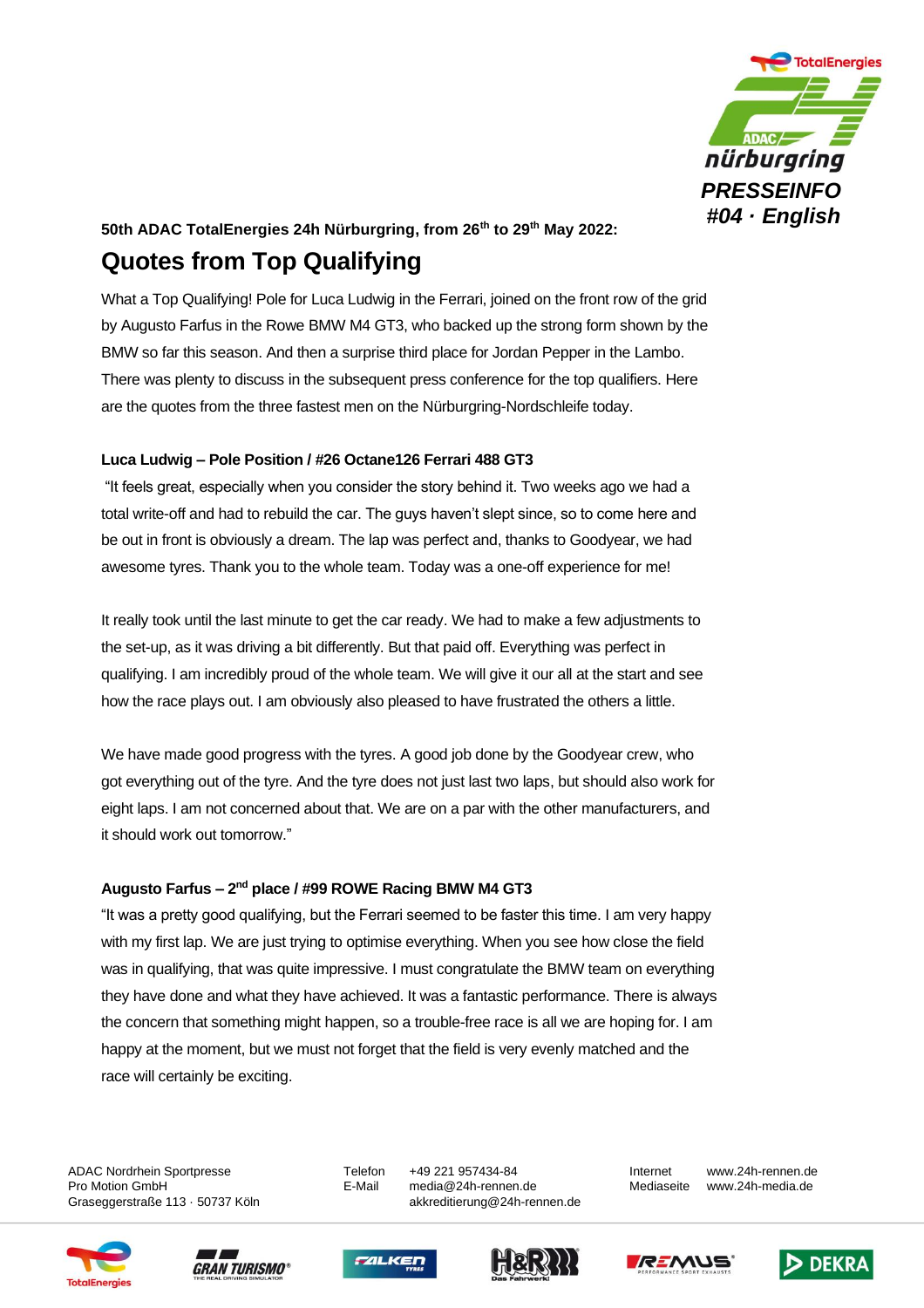

## **50th ADAC TotalEnergies 24h Nürburgring, from 26th to 29th May 2022: Quotes from Top Qualifying**

What a Top Qualifying! Pole for Luca Ludwig in the Ferrari, joined on the front row of the grid by Augusto Farfus in the Rowe BMW M4 GT3, who backed up the strong form shown by the BMW so far this season. And then a surprise third place for Jordan Pepper in the Lambo. There was plenty to discuss in the subsequent press conference for the top qualifiers. Here are the quotes from the three fastest men on the Nürburgring-Nordschleife today.

## **Luca Ludwig – Pole Position / #26 Octane126 Ferrari 488 GT3**

"It feels great, especially when you consider the story behind it. Two weeks ago we had a total write-off and had to rebuild the car. The guys haven't slept since, so to come here and be out in front is obviously a dream. The lap was perfect and, thanks to Goodyear, we had awesome tyres. Thank you to the whole team. Today was a one-off experience for me!

It really took until the last minute to get the car ready. We had to make a few adjustments to the set-up, as it was driving a bit differently. But that paid off. Everything was perfect in qualifying. I am incredibly proud of the whole team. We will give it our all at the start and see how the race plays out. I am obviously also pleased to have frustrated the others a little.

We have made good progress with the tyres. A good job done by the Goodyear crew, who got everything out of the tyre. And the tyre does not just last two laps, but should also work for eight laps. I am not concerned about that. We are on a par with the other manufacturers, and it should work out tomorrow."

## **Augusto Farfus – 2 nd place / #99 ROWE Racing BMW M4 GT3**

"It was a pretty good qualifying, but the Ferrari seemed to be faster this time. I am very happy with my first lap. We are just trying to optimise everything. When you see how close the field was in qualifying, that was quite impressive. I must congratulate the BMW team on everything they have done and what they have achieved. It was a fantastic performance. There is always the concern that something might happen, so a trouble-free race is all we are hoping for. I am happy at the moment, but we must not forget that the field is very evenly matched and the race will certainly be exciting.

ADAC Nordrhein Sportpresse Telefon +49 221 957434-84 Internet www.24h-rennen.de

Pro Motion GmbH E-Mail media@24h-rennen.de Mediaseite www.24h-media.de Graseggerstraße 113 · 50737 Köln auch akkreditierung@24h-rennen.de